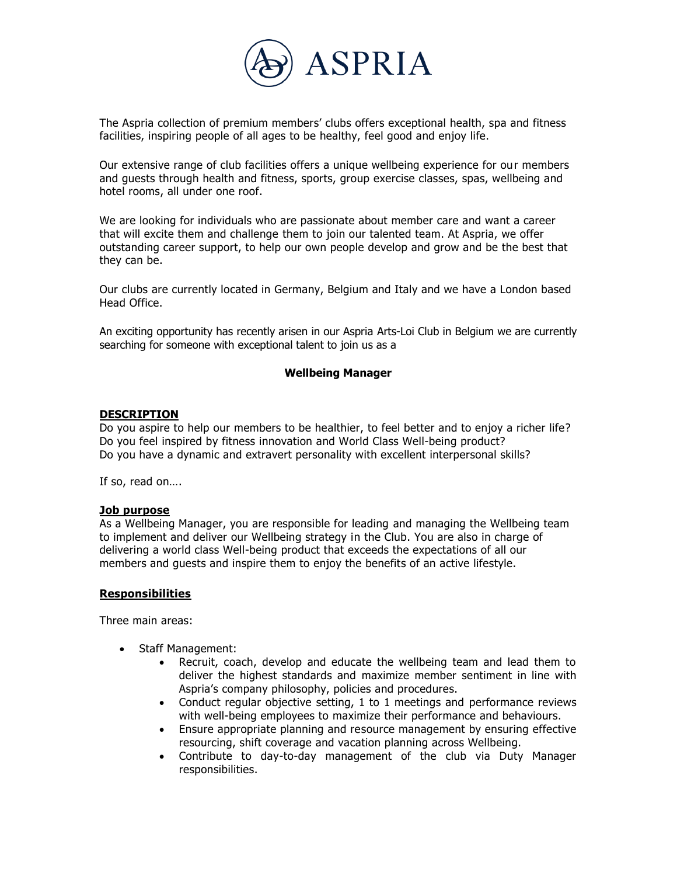

The Aspria collection of premium members' clubs offers exceptional health, spa and fitness facilities, inspiring people of all ages to be healthy, feel good and enjoy life.

Our extensive range of club facilities offers a unique wellbeing experience for our members and guests through health and fitness, sports, group exercise classes, spas, wellbeing and hotel rooms, all under one roof.

We are looking for individuals who are passionate about member care and want a career that will excite them and challenge them to join our talented team. At Aspria, we offer outstanding career support, to help our own people develop and grow and be the best that they can be.

Our clubs are currently located in Germany, Belgium and Italy and we have a London based Head Office.

An exciting opportunity has recently arisen in our Aspria Arts-Loi Club in Belgium we are currently searching for someone with exceptional talent to join us as a

### **Wellbeing Manager**

### **DESCRIPTION**

Do you aspire to help our members to be healthier, to feel better and to enjoy a richer life? Do you feel inspired by fitness innovation and World Class Well-being product? Do you have a dynamic and extravert personality with excellent interpersonal skills?

If so, read on….

#### **Job purpose**

As a Wellbeing Manager, you are responsible for leading and managing the Wellbeing team to implement and deliver our Wellbeing strategy in the Club. You are also in charge of delivering a world class Well-being product that exceeds the expectations of all our members and guests and inspire them to enjoy the benefits of an active lifestyle.

#### **Responsibilities**

Three main areas:

- Staff Management:
	- Recruit, coach, develop and educate the wellbeing team and lead them to deliver the highest standards and maximize member sentiment in line with Aspria's company philosophy, policies and procedures.
	- Conduct regular objective setting, 1 to 1 meetings and performance reviews with well-being employees to maximize their performance and behaviours.
	- Ensure appropriate planning and resource management by ensuring effective resourcing, shift coverage and vacation planning across Wellbeing.
	- Contribute to day-to-day management of the club via Duty Manager responsibilities.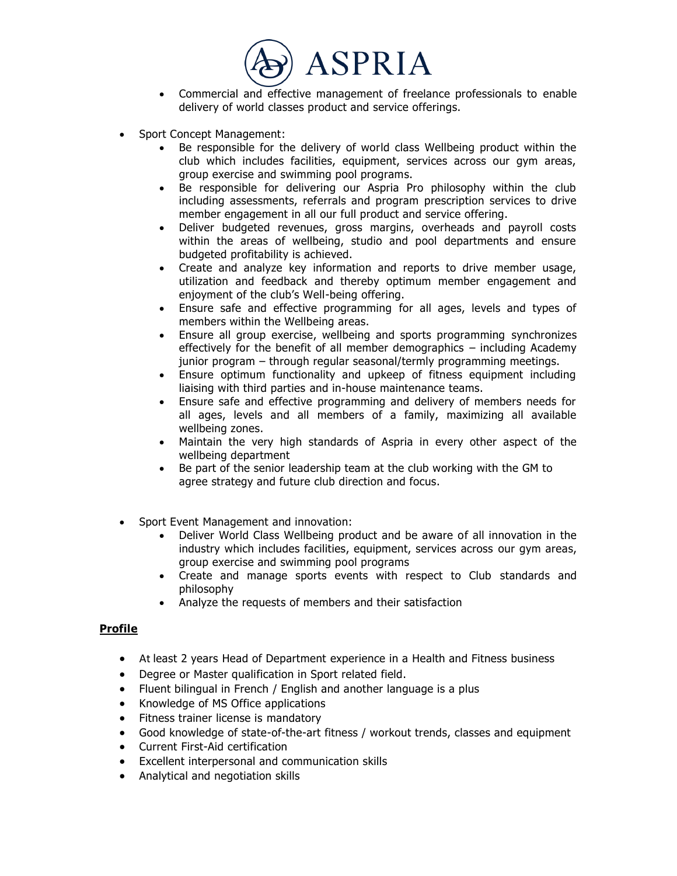

- Commercial and effective management of freelance professionals to enable delivery of world classes product and service offerings.
- Sport Concept Management:
	- Be responsible for the delivery of world class Wellbeing product within the club which includes facilities, equipment, services across our gym areas, group exercise and swimming pool programs.
	- Be responsible for delivering our Aspria Pro philosophy within the club including assessments, referrals and program prescription services to drive member engagement in all our full product and service offering.
	- Deliver budgeted revenues, gross margins, overheads and payroll costs within the areas of wellbeing, studio and pool departments and ensure budgeted profitability is achieved.
	- Create and analyze key information and reports to drive member usage, utilization and feedback and thereby optimum member engagement and enjoyment of the club's Well-being offering.
	- Ensure safe and effective programming for all ages, levels and types of members within the Wellbeing areas.
	- Ensure all group exercise, wellbeing and sports programming synchronizes effectively for the benefit of all member demographics – including Academy junior program – through regular seasonal/termly programming meetings.
	- Ensure optimum functionality and upkeep of fitness equipment including liaising with third parties and in-house maintenance teams.
	- Ensure safe and effective programming and delivery of members needs for all ages, levels and all members of a family, maximizing all available wellbeing zones.
	- Maintain the very high standards of Aspria in every other aspect of the wellbeing department
	- Be part of the senior leadership team at the club working with the GM to agree strategy and future club direction and focus.
- Sport Event Management and innovation:
	- Deliver World Class Wellbeing product and be aware of all innovation in the industry which includes facilities, equipment, services across our gym areas, group exercise and swimming pool programs
	- Create and manage sports events with respect to Club standards and philosophy
	- Analyze the requests of members and their satisfaction

# **Profile**

- At least 2 years Head of Department experience in a Health and Fitness business
- Degree or Master qualification in Sport related field.
- Fluent bilingual in French / English and another language is a plus
- Knowledge of MS Office applications
- Fitness trainer license is mandatory
- Good knowledge of state-of-the-art fitness / workout trends, classes and equipment
- Current First-Aid certification
- Excellent interpersonal and communication skills
- Analytical and negotiation skills